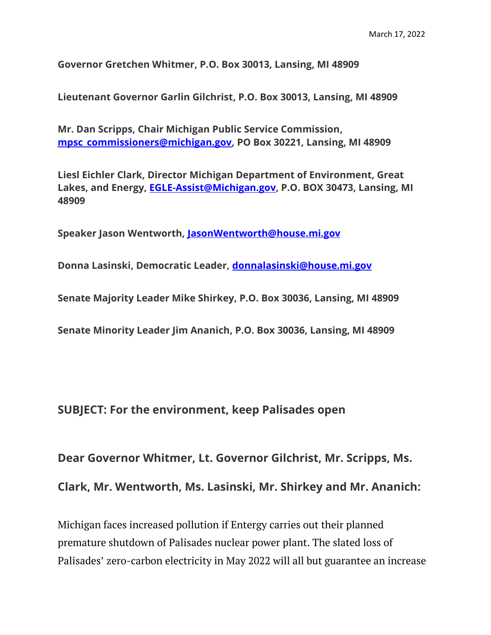**Governor Gretchen Whitmer, P.O. Box 30013, Lansing, MI 48909**

**Lieutenant Governor Garlin Gilchrist, P.O. Box 30013, Lansing, MI 48909**

**Mr. Dan Scripps, Chair Michigan Public Service Commission, [mpsc\\_commissioners@michigan.gov,](mailto:mpsc_commissioners@michigan.gov) PO Box 30221, Lansing, MI 48909**

**Liesl Eichler Clark, Director Michigan Department of Environment, Great Lakes, and Energy, [EGLE-Assist@Michigan.gov,](mailto:EGLE-Assist@Michigan.gov) P.O. BOX 30473, Lansing, MI 48909**

**Speaker Jason Wentworth, [JasonWentworth@house.mi.gov](mailto:JasonWentworth@house.mi.gov)**

**Donna Lasinski, Democratic Leader, [donnalasinski@house.mi.gov](mailto:donnalasinski@house.mi.gov)**

**Senate Majority Leader Mike Shirkey, P.O. Box 30036, Lansing, MI 48909**

**Senate Minority Leader Jim Ananich, P.O. Box 30036, Lansing, MI 48909**

**SUBJECT: For the environment, keep Palisades open**

**Dear Governor Whitmer, Lt. Governor Gilchrist, Mr. Scripps, Ms.** 

**Clark, Mr. Wentworth, Ms. Lasinski, Mr. Shirkey and Mr. Ananich:**

Michigan faces increased pollution if Entergy carries out their planned premature shutdown of Palisades nuclear power plant. The slated loss of Palisades' zero-carbon electricity in May 2022 will all but guarantee an increase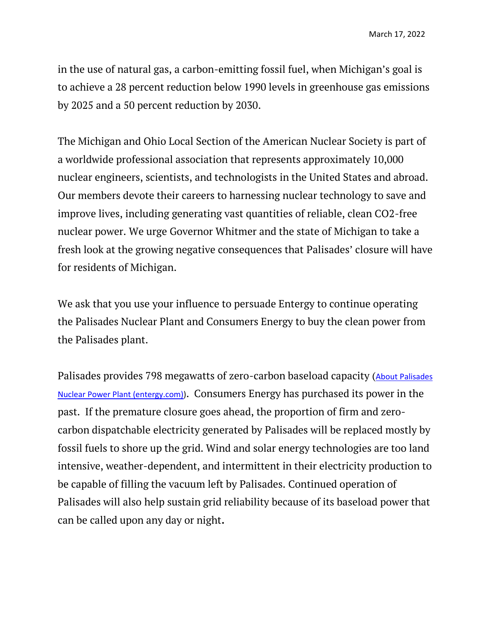in the use of natural gas, a carbon-emitting fossil fuel, when Michigan's goal is to achieve a 28 percent reduction below 1990 levels in greenhouse gas emissions by 2025 and a 50 percent reduction by 2030.

The Michigan and Ohio Local Section of the American Nuclear Society is part of a worldwide professional association that represents approximately 10,000 nuclear engineers, scientists, and technologists in the United States and abroad. Our members devote their careers to harnessing nuclear technology to save and improve lives, including generating vast quantities of reliable, clean CO2-free nuclear power. We urge Governor Whitmer and the state of Michigan to take a fresh look at the growing negative consequences that Palisades' closure will have for residents of Michigan.

We ask that you use your influence to persuade Entergy to continue operating the Palisades Nuclear Plant and Consumers Energy to buy the clean power from the Palisades plant.

Palisades provides 798 megawatts of zero-carbon baseload capacity ([About Palisades](https://www.entergy.com/palisadespower/about/)  [Nuclear Power Plant \(entergy.com\)\)](https://www.entergy.com/palisadespower/about/). Consumers Energy has purchased its power in the past. If the premature closure goes ahead, the proportion of firm and zerocarbon dispatchable electricity generated by Palisades will be replaced mostly by fossil fuels to shore up the grid. Wind and solar energy technologies are too land intensive, weather-dependent, and intermittent in their electricity production to be capable of filling the vacuum left by Palisades. Continued operation of Palisades will also help sustain grid reliability because of its baseload power that can be called upon any day or night**.**